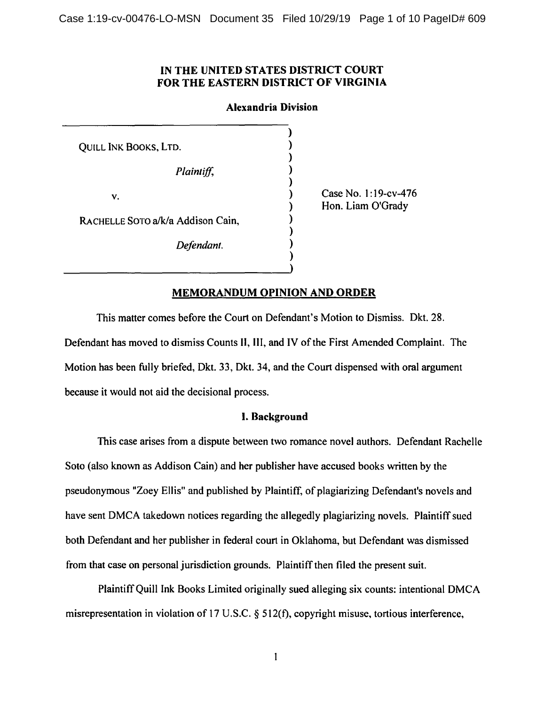## IN THE UNITED STATES DISTRICT COURT FOR THE EASTERN DISTRICT OF VIRGINIA

### Alexandria Division

) ) ) ) ) ) ) ) ) ) )

QUILL INK BOOKS, LTD.

*Plaintiff,* 

v.

RACHELLE SOTO a/k/a Addison Cain,

*Defendant.* 

Case No. 1:19-cv-476 Hon. Liam O'Grady

# MEMORANDUM OPINION AND ORDER

This matter comes before the Court on Defendant's Motion to Dismiss. Dkt. 28. Defendant has moved to dismiss Counts II, III, and IV of the First Amended Complaint. The Motion has been fully briefed, Dkt. 33, Dkt. 34, and the Court dispensed with oral argument because it would not aid the decisional process.

## I. Background

This case arises from a dispute between two romance novel authors. Defendant Rachelle Soto (also known as Addison Cain) and her publisher have accused books written by the pseudonymous "Zoey Ellis" and published by Plaintiff, of plagiarizing Defendant's novels and have sent DMCA takedown notices regarding the allegedly plagiarizing novels. Plaintiff sued both Defendant and her publisher in federal court in Oklahoma, but Defendant was dismissed from that case on personal jurisdiction grounds. Plaintiff then filed the present suit.

Plaintiff Quill Ink Books Limited originally sued alleging six counts: intentional DMCA misrepresentation in violation of 17 U.S.C. § 512(f), copyright misuse, tortious interference,

 $\mathbf{I}$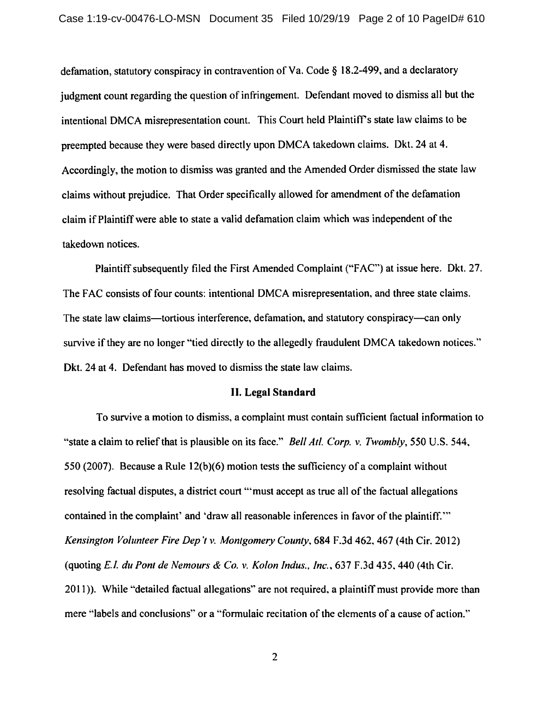defamation, statutory conspiracy in contravention of Va. Code § 18.2-499, and a declaratory judgment count regarding the question of infringement. Defendant moved to dismiss all but the intentional DMCA misrepresentation count. This Court held Plaintiff's state law claims to be preempted because they were based directly upon DMCA takedown claims. Dkt. 24 at 4. Accordingly, the motion to dismiss was granted and the Amended Order dismissed the state law claims without prejudice. That Order specifically allowed for amendment of the defamation claim ifPlaintiffwere able to state a valid defamation claim which was independent of the takedown notices.

Plaintiff subsequently filed the First Amended Complaint ("FAC") at issue here. Dkt. 27. The FAC consists of four counts: intentional DMCA misrepresentation, and three state claims. The state law claims—tortious interference, defamation, and statutory conspiracy—can only survive if they are no longer "tied directly to the allegedly fraudulent DMCA takedown notices." Dkt. 24 at 4. Defendant has moved to dismiss the state law claims.

#### II. **Legal Standard**

To survive a motion to dismiss, a complaint must contain sufficient factual information to "state a claim to relief that is plausible on its face." *Bell At/. Corp. v. Twombly, 550* U.S. 544, 550 (2007). Because a Rule 12(b)(6) motion tests the sufficiency of a complaint without resolving factual disputes, a district court '"must accept as true all of the factual allegations contained in the complaint' and 'draw all reasonable inferences in favor of the plaintiff."' *Kensington Volunteer Fire Dep 'tv. Montgomery County,* 684 F.3d 462.467 (4th Cir. 2012) (quoting E./. *duPont de Nemours* & *Co. v. Kolon Indus .. Inc.,* 637 F.3d 435. 440 (4th Cir. 2011)). While "detailed factual allegations" are not required, a plaintiff must provide more than mere "labels and conclusions" or a "formulaic recitation of the elements of a cause of action.''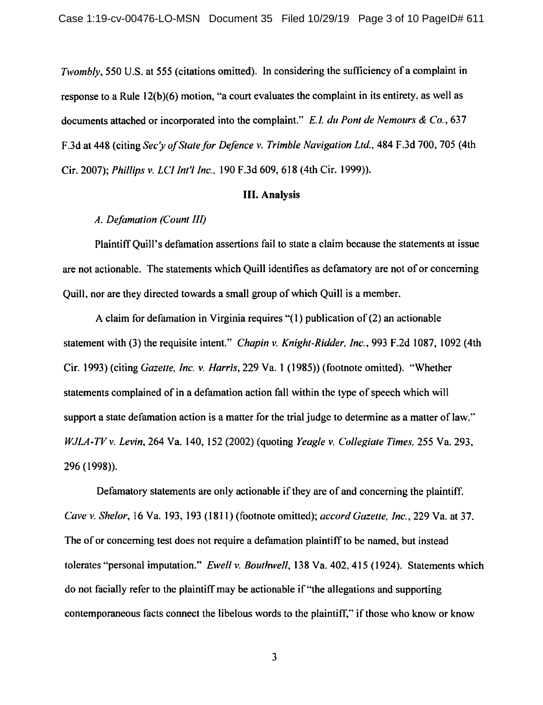*Twombly,* 550 U.S. at 555 (citations omitted). In considering the sufficiency of a complaint in response to a Rule 12(b)(6) motion, "a court evaluates the complaint in its entirety, as well as documents attached or incorporated into the complaint." *E.I. du Pont de Nemours & Co.*, 637 F.3d at 448 (citing *Sec'y of State for Defence v. Trimble Navigation Ltd.,* 484 F.3d 700, 705 (4th Cir. 2007); *Phillips v. LCI /nt'l Inc.,* 190 F.3d 609,618 (4th Cir. 1999)).

### III. Analysis

# *A. Defamation (Count 11/j*

Plaintiff Quill's defamation assertions fail to state a claim because the statements at issue are not actionable. The statements which Quill identifies as defamatory are not of or concerning Quill, nor are they directed towards a small group of which Quill is a member.

A claim for defamation in Virginia requires " $(1)$  publication of  $(2)$  an actionable statement with (3) the requisite intent." *Chapin v. Knight-Ridder, Inc.,* 993 F.2d 1087, 1092 (4th Cir. 1993) (citing *Gazelle, Inc. v. Harris,* 229 Va. 1 (1985)) (footnote omitted). "Whether statements complained of in a defamation action fall within the type of speech which will support a state defamation action is a matter for the trial judge to determine as a matter of law." *WJLA-TVv. Levin,* 264 Va. 140, 152 (2002) (quoting *Yeagle v. Collegiate Times,* 255 Va. 293, 296 ( 1998) ).

Defamatory statements are only actionable if they are of and concerning the plaintiff. *Cave v. Shelor,* 16 Va. 193, 193 (1811) (footnote omitted); *accord Gazelle, Inc.,* 229 Va. at 37. The of or concerning test does not require a defamation plaintiff to be named, but instead tolerates '"personal imputation." *Ewell v. Bouthwe/1,* 138 Va. 402, 415 (1924). Statements which do not facially refer to the plaintiff may be actionable if"the allegations and supporting contemporaneous facts connect the libelous words to the plaintiff," if those who know or know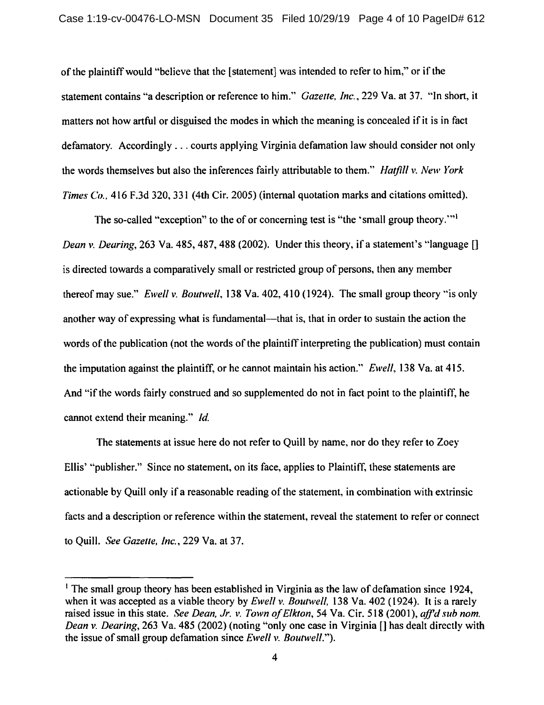of the plaintiff would "believe that the [statement] was intended to refer to him," or if the statement contains "a description or reference to him." *Gazette, Inc.,* 229 Va. at 37. "In short, it matters not how artful or disguised the modes in which the meaning is concealed if it is in fact defamatory. Accordingly ... courts applying Virginia defamation law should consider not only the words themselves but also the inferences fairly attributable to them." *Hatfill* v. *New York Times Co.,* 416 F.3d 320, 331 (4th Cir. 2005) (internal quotation marks and citations omitted).

The so-called "exception" to the of or concerning test is "the 'small group theory."<sup>1</sup> *Dean* v. *Dearing,* 263 Va. 485, 487, 488 (2002). Under this theory, if a statement's "language [] is directed towards a comparatively small or restricted group of persons, then any member thereof may sue." *Ewell v. Boutwell,* 138 Va. 402, 410 (1924). The small group theory ''is only another way of expressing what is fundamental—that is, that in order to sustain the action the words of the publication (not the words of the plaintiff interpreting the publication) must contain the imputation against the plaintiff, or he cannot maintain his action." *Ewell,* 138 Va. at 415. And "if the words fairly construed and so supplemented do not in fact point to the plaintiff, he cannot extend their meaning." *Id.* 

The statements at issue here do not refer to Quill by name, nor do they refer to Zoey Ellis' "publisher." Since no statement, on its face, applies to Plaintiff, these statements are actionable by Quill only if a reasonable reading of the statement, in combination with extrinsic facts and a description or reference within the statement, reveal the statement to refer or connect to Quill. *See Gazette, Inc.,* 229 Va. at 37.

<sup>&</sup>lt;sup>1</sup> The small group theory has been established in Virginia as the law of defamation since 1924, when it was accepted as a viable theory by *Ewell* v. *Boutwell,* 138 Va. 402 (1924). It is a rarely raised issue in this state. *See Dean, Jr. v. Town of Elkton*, 54 Va. Cir. 518 (2001), *aff'd sub nom. Dean v. Dearing,* 263 Va. 485 (2002) (noting "only one case in Virginia [] has dealt directly with the issue of small group defamation since *Ewell* v. *Boutwell.").*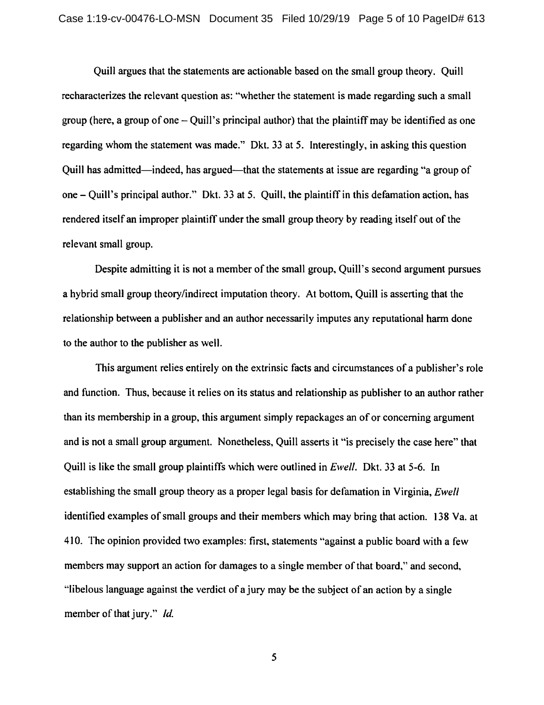Quill argues that the statements are actionable based on the small group theory. Quill recharacterizes the relevant question as: "whether the statement is made regarding such a small group (here, a group of one  $-$  Quill's principal author) that the plaintiff may be identified as one regarding whom the statement was made." Dkt. 33 at 5. Interestingly, in asking this question Quill has admitted-indeed, has argued-that the statements at issue are regarding "a group of one- Quill's principal author." Dkt. 33 at 5. Quill, the plaintiff in this defamation action, has rendered itself an improper plaintiff under the small group theory by reading itself out of the relevant small group.

Despite admitting it is not a member of the small group, Quill's second argument pursues a hybrid small group theory/indirect imputation theory. At bottom, Quill is asserting that the relationship between a publisher and an author necessarily imputes any reputational harm done to the author to the publisher as well.

This argument relies entirely on the extrinsic facts and circumstances of a publisher's role and function. Thus, because it relies on its status and relationship as publisher to an author rather than its membership in a group, this argument simply repackages an of or concerning argument and is not a small group argument. Nonetheless, Quill asserts it "is precisely the case here" that Quill is like the small group plaintiffs which were outlined in *Ewell.* Dkt. 33 at 5-6. In establishing the small group theory as a proper legal basis for defamation in Virginia, *Ewell*  identified examples of small groups and their members which may bring that action. 138 Va. at 410. The opinion provided two examples: first, statements "against a public board with a few members may support an action for damages to a single member of that board," and second, "libelous language against the verdict of a jury may be the subject of an action by a single member of that jury." *Id.* 

5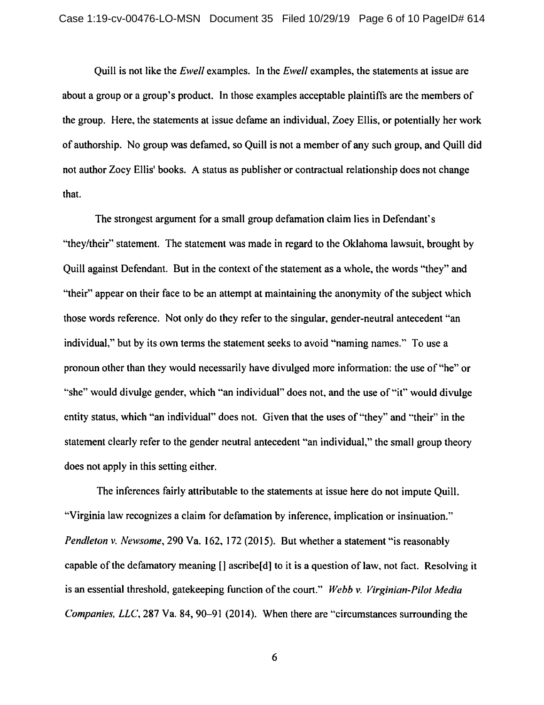Quill is not like the *Ewell* examples. In the *Ewell* examples, the statements at issue are about a group or a group's product. In those examples acceptable plaintiffs are the members of the group. Here, the statements at issue defame an individual, Zoey Ellis, or potentially her work of authorship. No group was defamed, so Quill is not a member of any such group, and Quill did not author Zoey Ellis' books. A status as publisher or contractual relationship does not change that.

The strongest argument for a small group defamation claim lies in Defendant's "they/their" statement. The statement was made in regard to the Oklahoma lawsuit, brought by Quill against Defendant. But in the context of the statement as a whole, the words "they" and "their" appear on their face to be an attempt at maintaining the anonymity of the subject which those words reference. Not only do they refer to the singular, gender-neutral antecedent "an individual," but by its own terms the statement seeks to avoid "naming names." To use a pronoun other than they would necessarily have divulged more information: the use of"he" or "she" would divulge gender, which "an individual" does not, and the use of "it" would divulge entity status, which "an individual" does not. Given that the uses of "they" and "their" in the statement clearly refer to the gender neutral antecedent ''an individual," the small group theory does not apply in this setting either.

The inferences fairly attributable to the statements at issue here do not impute Quill. "Virginia law recognizes a claim for defamation by inference, implication or insinuation." *Pendleton v. Newsome,* 290 Va. 162, 172 (2015). But whether a statement "is reasonably capable of the defamatory meaning [] ascribe [d] to it is a question of law, not fact. Resolving it is an essential threshold, gatekeeping function of the court." *Webb v. Virginian-Pilot Media Companies, LLC,* 287 Va. 84, 90-91 (2014). When there are "circumstances surrounding the

6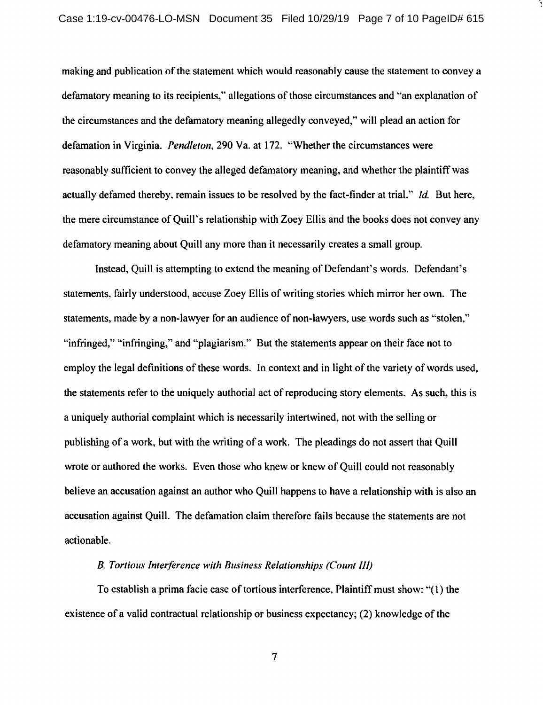making and publication of the statement which would reasonably cause the statement to convey a defamatory meaning to its recipients," allegations of those circumstances and '"an explanation of the circumstances and the defamatory meaning allegedly conveyed," will plead an action for defamation in Virginia. *Pendleton,* 290 Va. at 172. '"Whether the circumstances were reasonably sufficient to convey the alleged defamatory meaning, and whether the plaintiff was actually defamed thereby, remain issues to be resolved by the fact-finder at trial." */d.* But here, the mere circumstance of Quill's relationship with Zoey Ellis and the books does not convey any defamatory meaning about Quill any more than it necessarily creates a small group.

Instead, Quill is attempting to extend the meaning of Defendant's words. Defendant's statements, fairly understood, accuse Zoey Ellis of writing stories which mirror her own. The statements, made by a non-lawyer for an audience of non-lawyers, use words such as "stolen," "infringed," "infringing," and "plagiarism." But the statements appear on their face not to employ the legal definitions of these words. In context and in light of the variety of words used, the statements refer to the uniquely authorial act of reproducing story elements. As such, this is a uniquely authorial complaint which is necessarily intertwined, not with the selling or publishing of a work, but with the writing of a work. The pleadings do not assert that Quill wrote or authored the works. Even those who knew or knew of Quill could not reasonably believe an accusation against an author who Quill happens to have a relationship with is also an accusation against Quill. The defamation claim therefore fails because the statements are not actionable.

## *B. Tortious Interference with Business Relationships (Count* Ill)

To establish a prima facie case of tortious interference, Plaintiff must show: "(1) the existence of a valid contractual relationship or business expectancy; (2) knowledge of the

7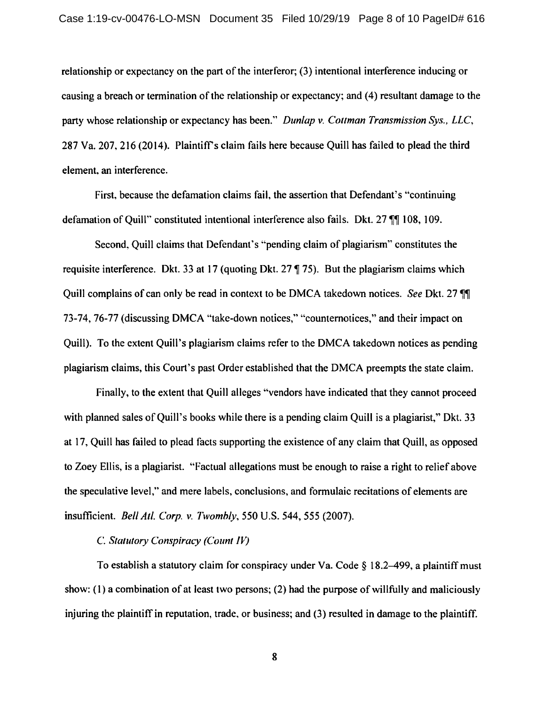relationship or expectancy on the part of the interferor; (3) intentional interference inducing or causing a breach or termination of the relationship or expectancy; and (4) resultant damage to the party whose relationship or expectancy has been." *Dunlap v. Cottman Transmission Sys., LLC,*  287 Va. 207, 216 (2014). Plaintiffs claim fails here because Quill has failed to plead the third element. an interference.

First, because the defamation claims fail, the assertion that Defendant's "continuing defamation of Ouill" constituted intentional interference also fails. Dkt. 27  $\P$  108, 109.

Second, Quill claims that Defendant's "pending claim of plagiarism" constitutes the requisite interference. Dkt. 33 at 17 (quoting Dkt.  $27 \text{ } \text{T}$ , 75). But the plagiarism claims which Quill complains of can only be read in context to be DMCA takedown notices. *See* Dkt. 27  $\P$ 73-74,76-77 (discussing DMCA "take-down notices," "countemotices," and their impact on Quill). To the extent Quill's plagiarism claims refer to the DMCA takedown notices as pending plagiarism claims, this Court's past Order established that the DMCA preempts the state claim.

Finally, to the extent that Quill alleges "'vendors have indicated that they cannot proceed with planned sales of Quill's books while there is a pending claim Quill is a plagiarist," Dkt. 33 at 17, Quill has failed to plead facts supporting the existence of any claim that Quill, as opposed to Zoey Ellis, is a plagiarist. "Factual allegations must be enough to raise a right to relief above the speculative level," and mere labels, conclusions, and formulaic recitations of elements are insufficient. *Bel/ All. Corp. v. Twombly,* 550 U.S. 544, 555 (2007).

#### C. Statutory Conspiracy (Count IV)

To establish a statutory claim for conspiracy under Va. Code  $\S$  18.2-499, a plaintiff must show: (I) a combination of at least two persons; (2) had the purpose of willfully and maliciously injuring the plaintiff in reputation, trade, or business; and (3) resulted in damage to the plaintiff.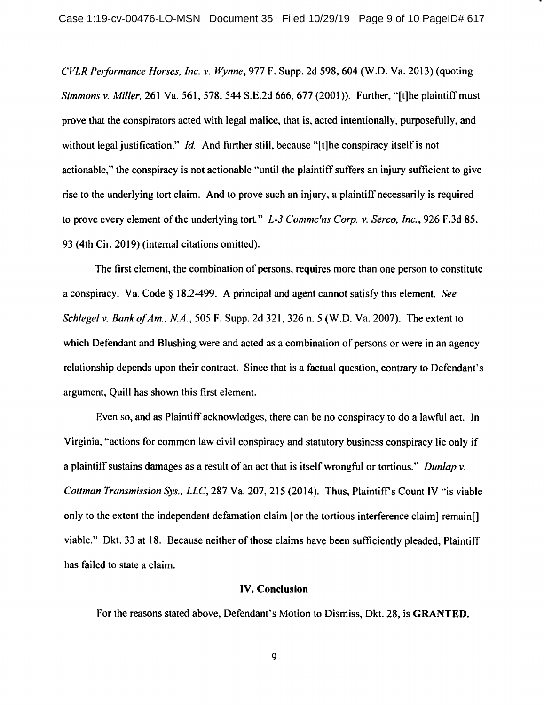*CVLR Performance Horses, Inc. v. Wynne,* 977 F. Supp. 2d 598,604 (W.D. Va. 2013) (quoting *Simmons v. Miller,* 261 Va. 561,578,544 S.E.2d 666,677 (2001)). Further, "[t]he plaintiffmust prove that the conspirators acted with legal malice, that is, acted intentionally, purposefully, and without legal justification." *Id.* And further still, because "[t]he conspiracy itself is not actionable," the conspiracy is not actionable "until the plaintiff suffers an injury sufficient to give rise to the underlying tort claim. And to prove such an injury, a plaintiff necessarily is required to prove every element of the underlying tort." *L-3 Commc'ns Corp. v. Serco, Inc.,* 926 F.3d 85, 93 (4th Cir. 2019) (internal citations omitted).

The first element, the combination of persons, requires more than one person to constitute a conspiracy. Va. Code§ 18.2-499. A principal and agent cannot satisfy this element. *See Schlegel v. Bank of Am., N.A.,* 505 F. Supp. 2d 321, 326 n. 5 (W.O. Va. 2007). The extent to which Defendant and Blushing were and acted as a combination of persons or were in an agency relationship depends upon their contract. Since that is a factual question, contrary to Defendant's argument, Quill has shown this first element.

Even so, and as Plaintiff acknowledges, there can be no conspiracy to do a lawful act. In Virginia, "actions for common law civil conspiracy and statutory business conspiracy lie only if a plaintiff sustains damages as a result of an act that is itself wrongful or tortious." *Dunlap v. Collman Transmission Sys .. LLC,* 287 Va. 207,215 (2014). Thus, Plaintiff's Count IV "is viable only to the extent the independent defamation claim [or the tortious interference claim] remain[) viable." Dkt. 33 at 18. Because neither of those claims have been sufficiently pleaded, Plaintiff has failed to state a claim.

#### IV. **Conclusion**

For the reasons stated above, Defendant's Motion to Dismiss, Dkt. 28, is **GRANTED.**